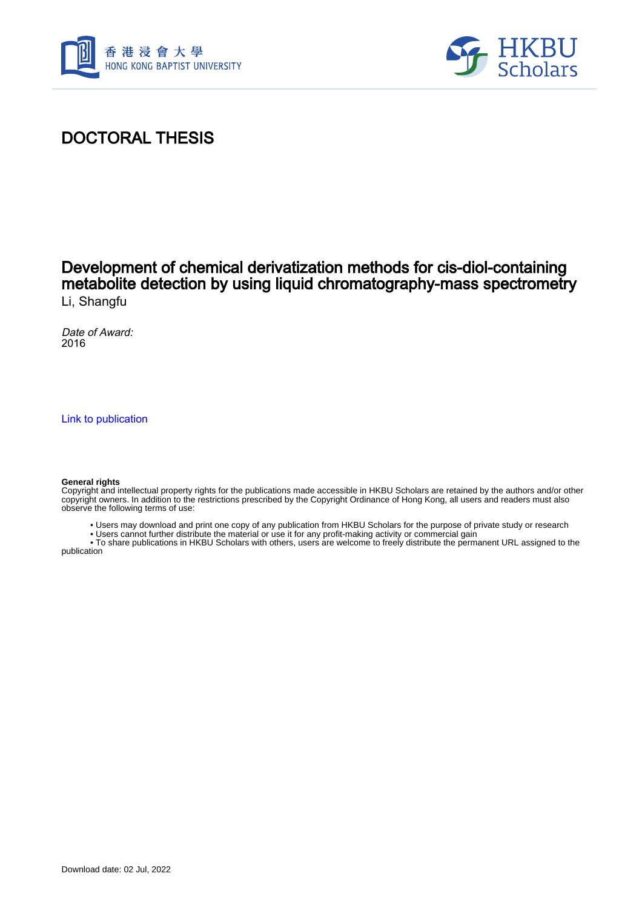



# DOCTORAL THESIS

## Development of chemical derivatization methods for cis-diol-containing metabolite detection by using liquid chromatography-mass spectrometry Li, Shangfu

Date of Award: 2016

[Link to publication](https://scholars.hkbu.edu.hk/en/studentTheses/9aa544a6-19ae-4390-91c5-545918011f22)

#### **General rights**

Copyright and intellectual property rights for the publications made accessible in HKBU Scholars are retained by the authors and/or other copyright owners. In addition to the restrictions prescribed by the Copyright Ordinance of Hong Kong, all users and readers must also observe the following terms of use:

- Users may download and print one copy of any publication from HKBU Scholars for the purpose of private study or research
- Users cannot further distribute the material or use it for any profit-making activity or commercial gain

 • To share publications in HKBU Scholars with others, users are welcome to freely distribute the permanent URL assigned to the publication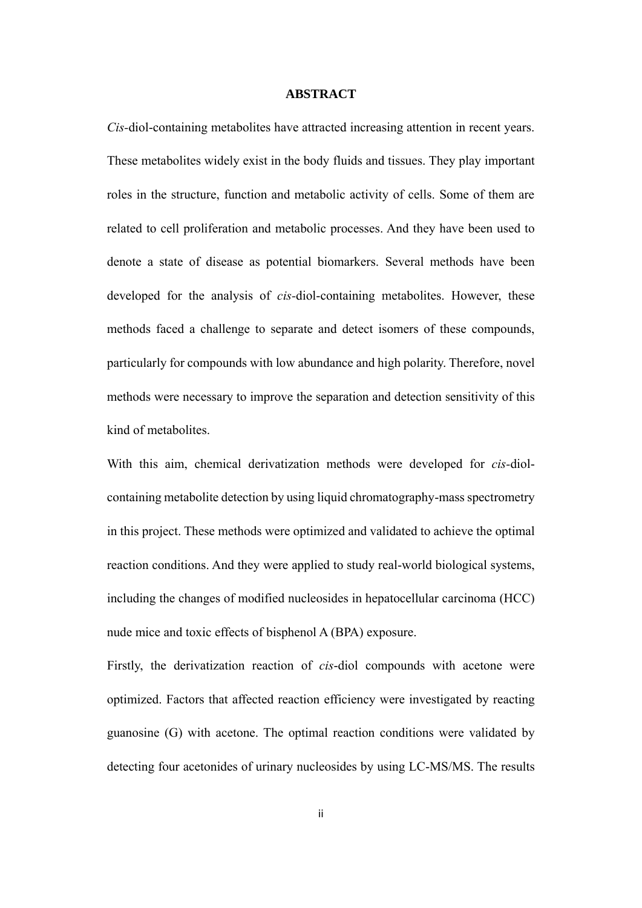### **ABSTRACT**

<span id="page-1-0"></span>*Cis-*diol-containing metabolites have attracted increasing attention in recent years. These metabolites widely exist in the body fluids and tissues. They play important roles in the structure, function and metabolic activity of cells. Some of them are related to cell proliferation and metabolic processes. And they have been used to denote a state of disease as potential biomarkers. Several methods have been developed for the analysis of *cis-*diol-containing metabolites. However, these methods faced a challenge to separate and detect isomers of these compounds, particularly for compounds with low abundance and high polarity. Therefore, novel methods were necessary to improve the separation and detection sensitivity of this kind of metabolites.

With this aim, chemical derivatization methods were developed for *cis-*diolcontaining metabolite detection by using liquid chromatography-mass spectrometry in this project. These methods were optimized and validated to achieve the optimal reaction conditions. And they were applied to study real-world biological systems, including the changes of modified nucleosides in hepatocellular carcinoma (HCC) nude mice and toxic effects of bisphenol A (BPA) exposure.

Firstly, the derivatization reaction of *cis*-diol compounds with acetone were optimized. Factors that affected reaction efficiency were investigated by reacting guanosine (G) with acetone. The optimal reaction conditions were validated by detecting four acetonides of urinary nucleosides by using LC-MS/MS. The results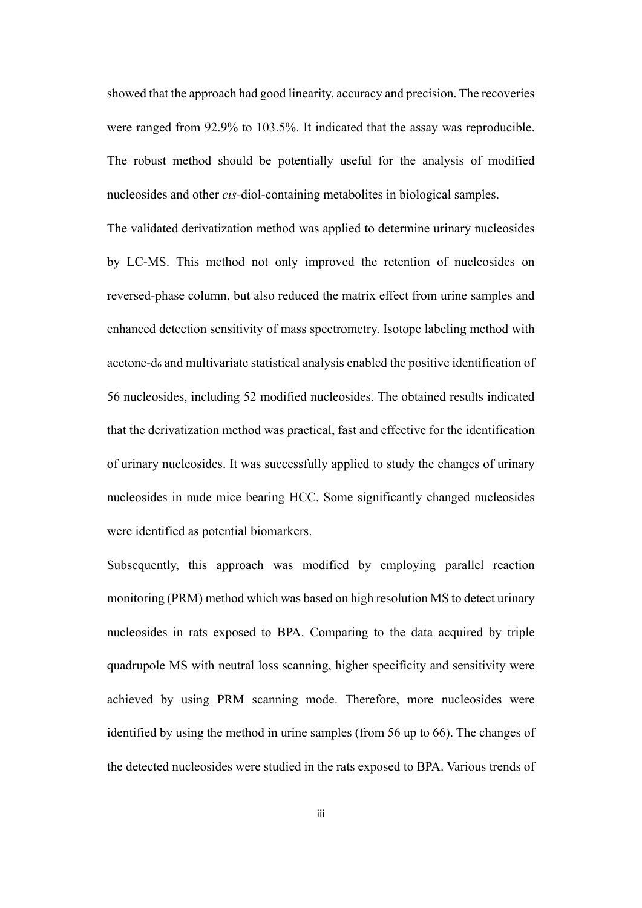showed that the approach had good linearity, accuracy and precision. The recoveries were ranged from 92.9% to 103.5%. It indicated that the assay was reproducible. The robust method should be potentially useful for the analysis of modified nucleosides and other *cis-*diol-containing metabolites in biological samples.

The validated derivatization method was applied to determine urinary nucleosides by LC-MS. This method not only improved the retention of nucleosides on reversed-phase column, but also reduced the matrix effect from urine samples and enhanced detection sensitivity of mass spectrometry. Isotope labeling method with acetone-d<sup>6</sup> and multivariate statistical analysis enabled the positive identification of 56 nucleosides, including 52 modified nucleosides. The obtained results indicated that the derivatization method was practical, fast and effective for the identification of urinary nucleosides. It was successfully applied to study the changes of urinary nucleosides in nude mice bearing HCC. Some significantly changed nucleosides were identified as potential biomarkers.

Subsequently, this approach was modified by employing parallel reaction monitoring (PRM) method which was based on high resolution MS to detect urinary nucleosides in rats exposed to BPA. Comparing to the data acquired by triple quadrupole MS with neutral loss scanning, higher specificity and sensitivity were achieved by using PRM scanning mode. Therefore, more nucleosides were identified by using the method in urine samples (from 56 up to 66). The changes of the detected nucleosides were studied in the rats exposed to BPA. Various trends of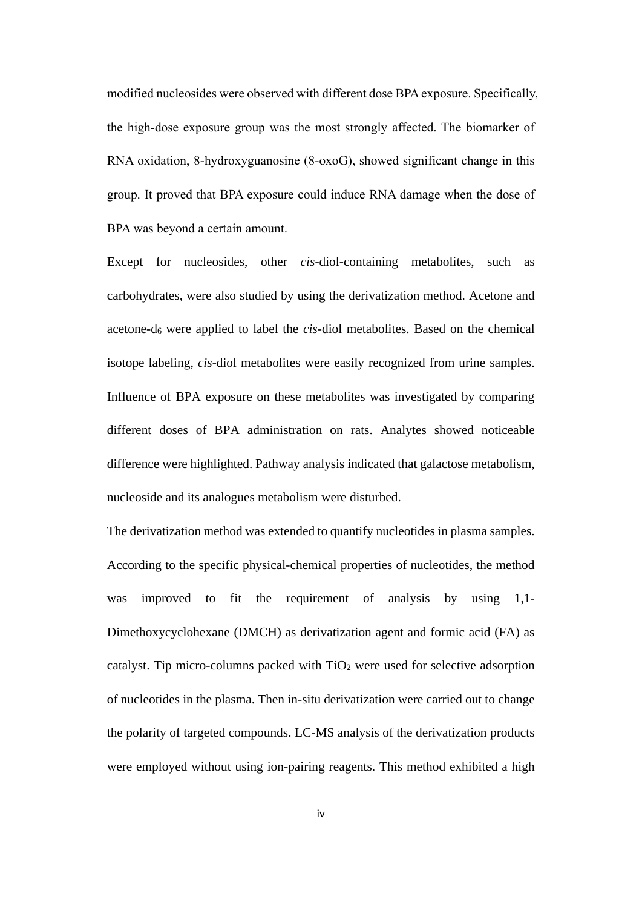modified nucleosides were observed with different dose BPA exposure. Specifically, the high-dose exposure group was the most strongly affected. The biomarker of RNA oxidation, 8-hydroxyguanosine (8-oxoG), showed significant change in this group. It proved that BPA exposure could induce RNA damage when the dose of BPA was beyond a certain amount.

Except for nucleosides, other *cis-*diol-containing metabolites, such as carbohydrates, were also studied by using the derivatization method. Acetone and acetone-d<sup>6</sup> were applied to label the *cis-*diol metabolites. Based on the chemical isotope labeling, *cis-*diol metabolites were easily recognized from urine samples. Influence of BPA exposure on these metabolites was investigated by comparing different doses of BPA administration on rats. Analytes showed noticeable difference were highlighted. Pathway analysis indicated that galactose metabolism, nucleoside and its analogues metabolism were disturbed.

The derivatization method was extended to quantify nucleotides in plasma samples. According to the specific physical-chemical properties of nucleotides, the method was improved to fit the requirement of analysis by using 1,1-Dimethoxycyclohexane (DMCH) as derivatization agent and formic acid (FA) as catalyst. Tip micro-columns packed with  $TiO<sub>2</sub>$  were used for selective adsorption of nucleotides in the plasma. Then in-situ derivatization were carried out to change the polarity of targeted compounds. LC-MS analysis of the derivatization products were employed without using ion-pairing reagents. This method exhibited a high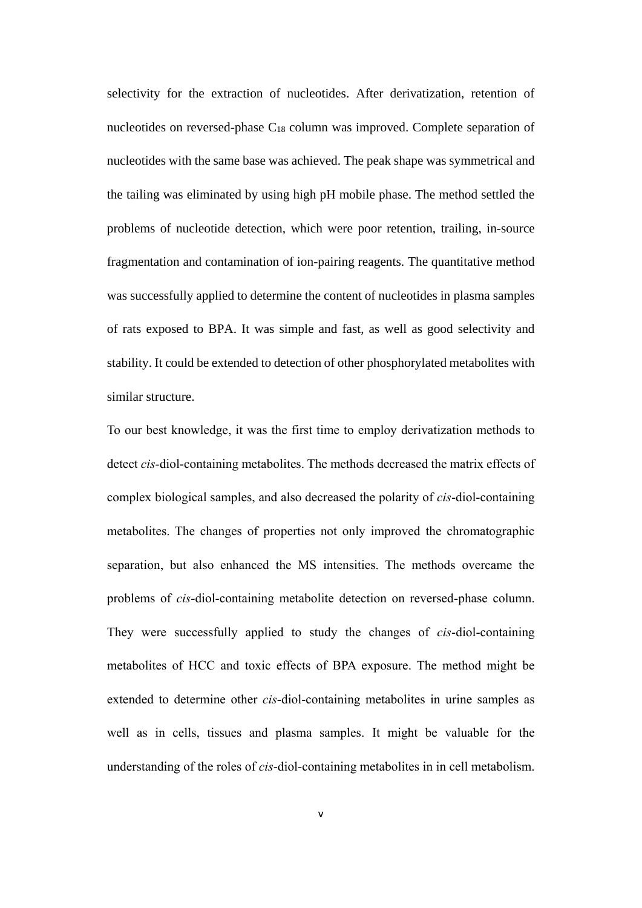selectivity for the extraction of nucleotides. After derivatization, retention of nucleotides on reversed-phase C<sup>18</sup> column was improved. Complete separation of nucleotides with the same base was achieved. The peak shape was symmetrical and the tailing was eliminated by using high pH mobile phase. The method settled the problems of nucleotide detection, which were poor retention, trailing, in-source fragmentation and contamination of ion-pairing reagents. The quantitative method was successfully applied to determine the content of nucleotides in plasma samples of rats exposed to BPA. It was simple and fast, as well as good selectivity and stability. It could be extended to detection of other phosphorylated metabolites with similar structure.

To our best knowledge, it was the first time to employ derivatization methods to detect *cis-*diol-containing metabolites. The methods decreased the matrix effects of complex biological samples, and also decreased the polarity of *cis*-diol-containing metabolites. The changes of properties not only improved the chromatographic separation, but also enhanced the MS intensities. The methods overcame the problems of *cis*-diol-containing metabolite detection on reversed-phase column. They were successfully applied to study the changes of *cis*-diol-containing metabolites of HCC and toxic effects of BPA exposure. The method might be extended to determine other *cis*-diol-containing metabolites in urine samples as well as in cells, tissues and plasma samples. It might be valuable for the understanding of the roles of *cis*-diol-containing metabolites in in cell metabolism.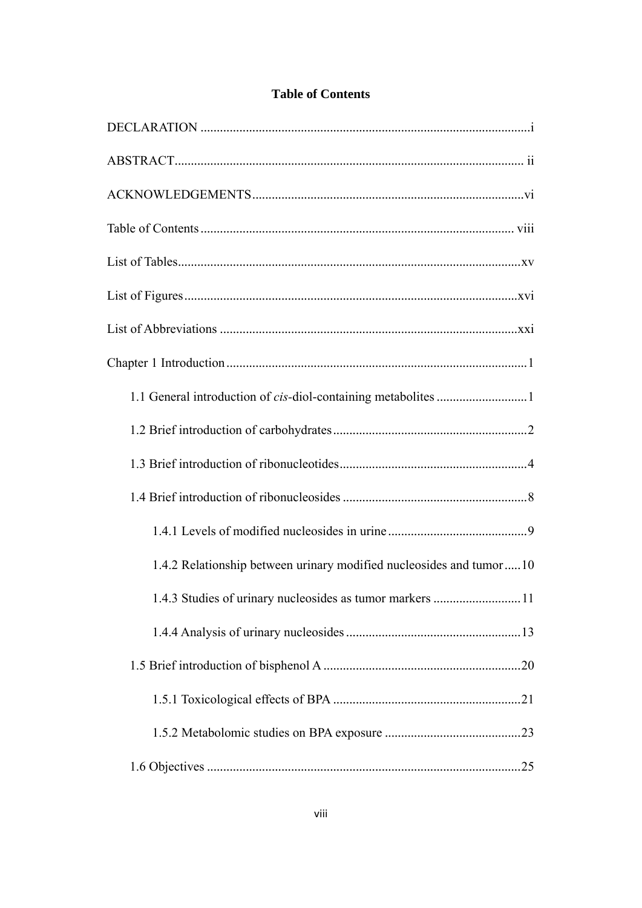<span id="page-5-0"></span>

| 1.1 General introduction of cis-diol-containing metabolites 1       |
|---------------------------------------------------------------------|
|                                                                     |
|                                                                     |
|                                                                     |
|                                                                     |
| 1.4.2 Relationship between urinary modified nucleosides and tumor10 |
| 1.4.3 Studies of urinary nucleosides as tumor markers<br>11         |
|                                                                     |
|                                                                     |
|                                                                     |
|                                                                     |
|                                                                     |

### **Table of Contents**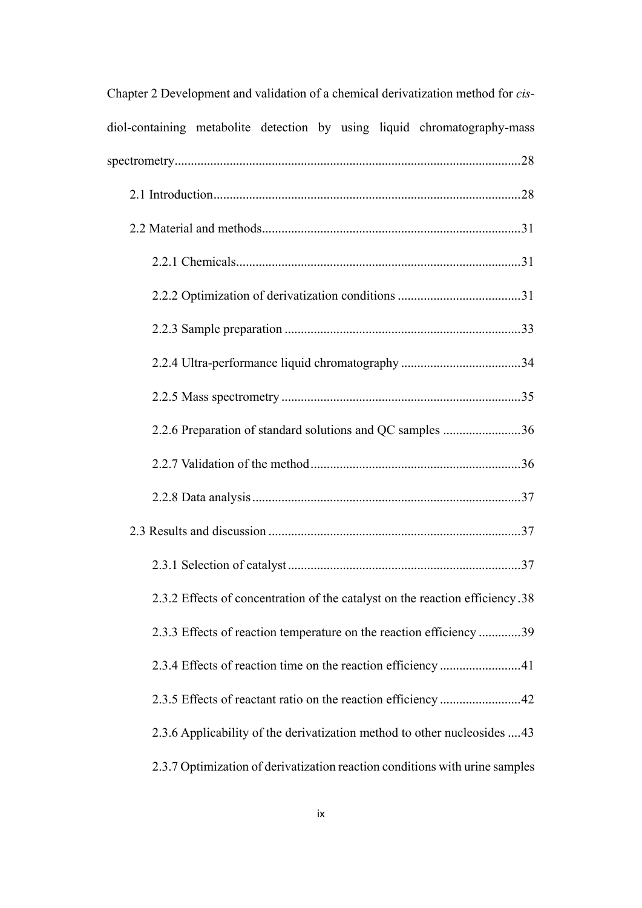| Chapter 2 Development and validation of a chemical derivatization method for cis- |
|-----------------------------------------------------------------------------------|
| diol-containing metabolite detection by using liquid chromatography-mass          |
|                                                                                   |
|                                                                                   |
|                                                                                   |
|                                                                                   |
|                                                                                   |
|                                                                                   |
|                                                                                   |
|                                                                                   |
| 2.2.6 Preparation of standard solutions and QC samples 36                         |
|                                                                                   |
|                                                                                   |
|                                                                                   |
|                                                                                   |
| 2.3.2 Effects of concentration of the catalyst on the reaction efficiency.38      |
| 2.3.3 Effects of reaction temperature on the reaction efficiency 39               |
|                                                                                   |
|                                                                                   |
| 2.3.6 Applicability of the derivatization method to other nucleosides 43          |
| 2.3.7 Optimization of derivatization reaction conditions with urine samples       |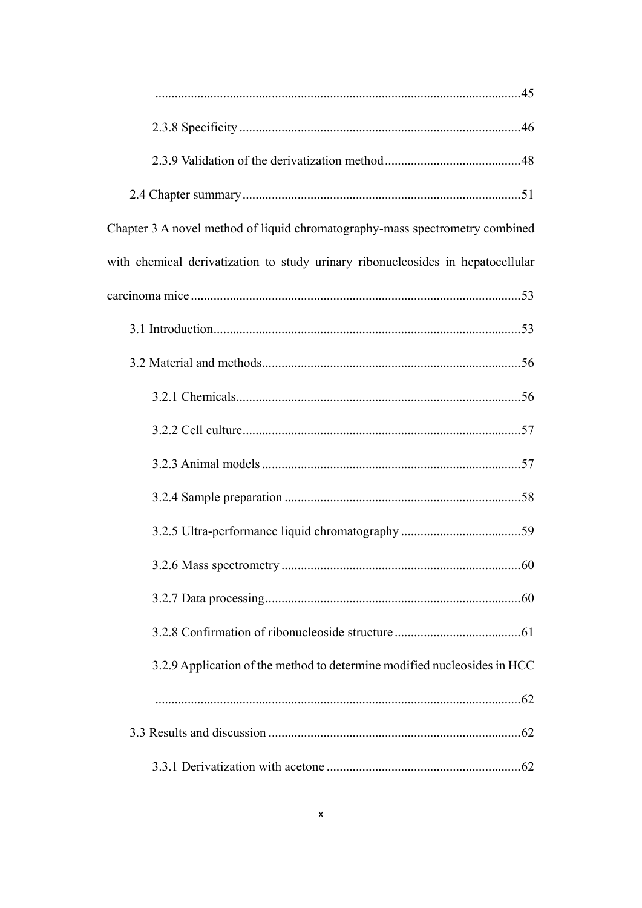| Chapter 3 A novel method of liquid chromatography-mass spectrometry combined    |
|---------------------------------------------------------------------------------|
| with chemical derivatization to study urinary ribonucleosides in hepatocellular |
|                                                                                 |
|                                                                                 |
|                                                                                 |
|                                                                                 |
|                                                                                 |
|                                                                                 |
|                                                                                 |
|                                                                                 |
|                                                                                 |
|                                                                                 |
|                                                                                 |
| 3.2.9 Application of the method to determine modified nucleosides in HCC        |
|                                                                                 |
|                                                                                 |
|                                                                                 |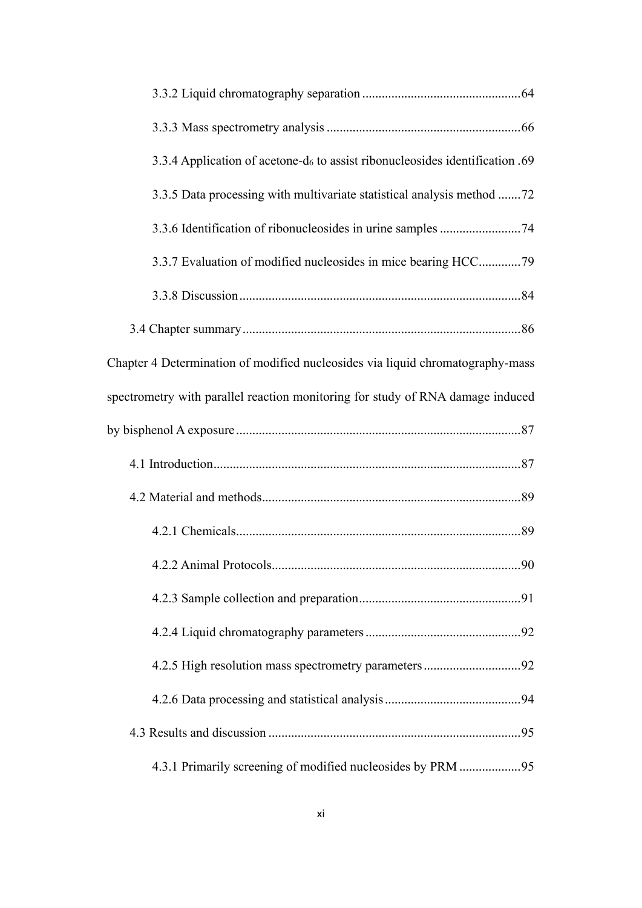| 3.3.4 Application of acetone-d <sub>6</sub> to assist ribonucleosides identification .69 |
|------------------------------------------------------------------------------------------|
| 3.3.5 Data processing with multivariate statistical analysis method 72                   |
|                                                                                          |
|                                                                                          |
|                                                                                          |
|                                                                                          |
| Chapter 4 Determination of modified nucleosides via liquid chromatography-mass           |
| spectrometry with parallel reaction monitoring for study of RNA damage induced           |
|                                                                                          |
|                                                                                          |
|                                                                                          |
|                                                                                          |
|                                                                                          |
|                                                                                          |
|                                                                                          |
|                                                                                          |
|                                                                                          |
|                                                                                          |
| 4.3.1 Primarily screening of modified nucleosides by PRM 95                              |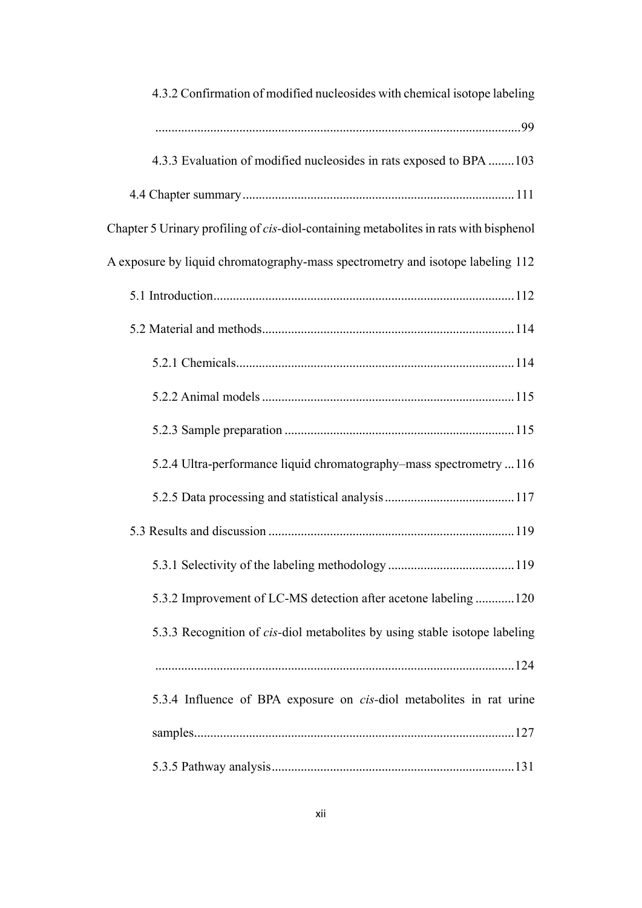| 4.3.2 Confirmation of modified nucleosides with chemical isotope labeling             |
|---------------------------------------------------------------------------------------|
|                                                                                       |
| 4.3.3 Evaluation of modified nucleosides in rats exposed to BPA  103                  |
|                                                                                       |
| Chapter 5 Urinary profiling of cis-diol-containing metabolites in rats with bisphenol |
| A exposure by liquid chromatography-mass spectrometry and isotope labeling 112        |
|                                                                                       |
|                                                                                       |
|                                                                                       |
|                                                                                       |
|                                                                                       |
| 5.2.4 Ultra-performance liquid chromatography–mass spectrometry 116                   |
|                                                                                       |
|                                                                                       |
|                                                                                       |
| 5.3.2 Improvement of LC-MS detection after acetone labeling 120                       |
| 5.3.3 Recognition of cis-diol metabolites by using stable isotope labeling            |
|                                                                                       |
| 5.3.4 Influence of BPA exposure on cis-diol metabolites in rat urine                  |
|                                                                                       |
|                                                                                       |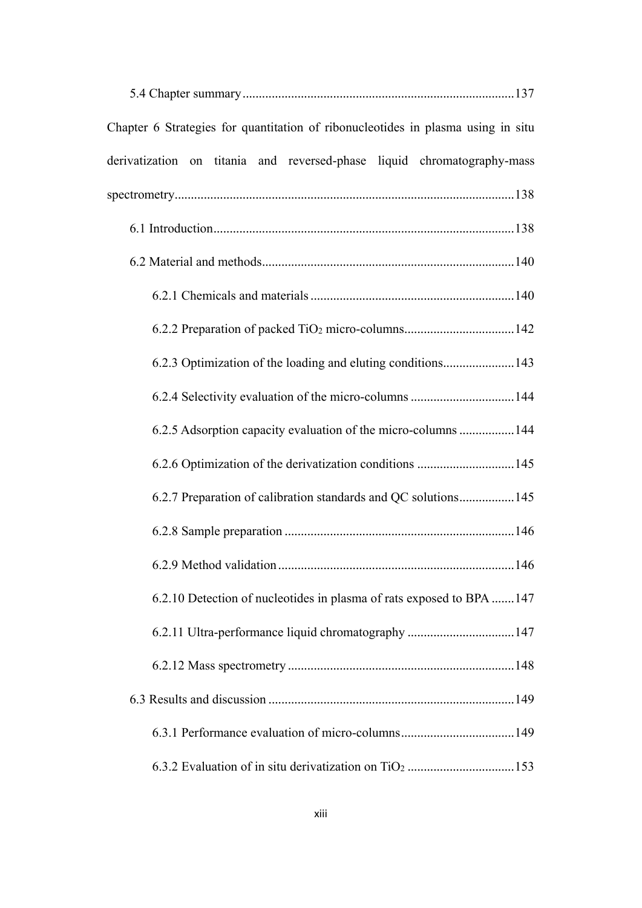| Chapter 6 Strategies for quantitation of ribonucleotides in plasma using in situ |
|----------------------------------------------------------------------------------|
| derivatization on titania and reversed-phase liquid chromatography-mass          |
|                                                                                  |
|                                                                                  |
|                                                                                  |
|                                                                                  |
| 6.2.2 Preparation of packed TiO <sub>2</sub> micro-columns142                    |
| 6.2.3 Optimization of the loading and eluting conditions143                      |
| 6.2.4 Selectivity evaluation of the micro-columns 144                            |
| 6.2.5 Adsorption capacity evaluation of the micro-columns  144                   |
|                                                                                  |
| 6.2.7 Preparation of calibration standards and QC solutions 145                  |
|                                                                                  |
| 6.2.9 Method validation.<br>. 146                                                |
| 6.2.10 Detection of nucleotides in plasma of rats exposed to BPA 147             |
| 6.2.11 Ultra-performance liquid chromatography 147                               |
|                                                                                  |
|                                                                                  |
| 6.3.1 Performance evaluation of micro-columns149                                 |
|                                                                                  |